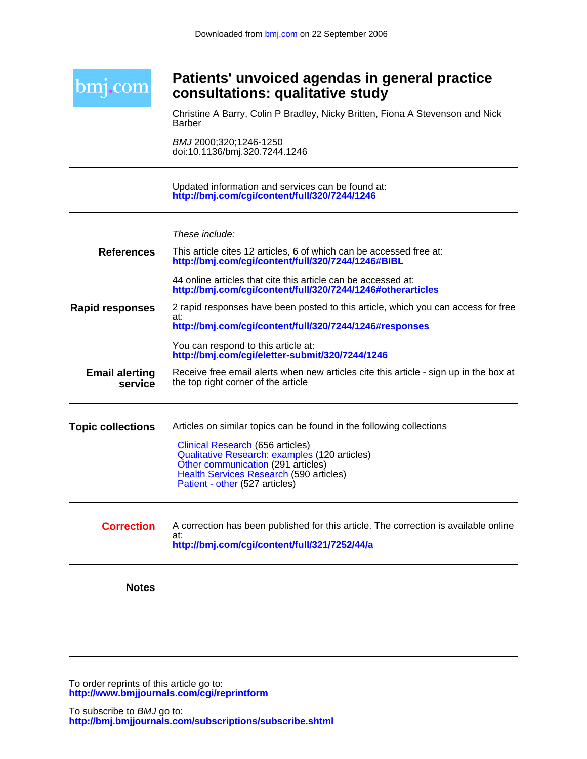

# **consultations: qualitative study Patients' unvoiced agendas in general practice**

Barber Christine A Barry, Colin P Bradley, Nicky Britten, Fiona A Stevenson and Nick

doi:10.1136/bmj.320.7244.1246 BMJ 2000;320;1246-1250

**<http://bmj.com/cgi/content/full/320/7244/1246>** Updated information and services can be found at:

These include:

| <b>Notes</b>                     |                                                                                                                                                                                                                                                                              |
|----------------------------------|------------------------------------------------------------------------------------------------------------------------------------------------------------------------------------------------------------------------------------------------------------------------------|
| <b>Correction</b>                | A correction has been published for this article. The correction is available online<br>at:<br>http://bmj.com/cgi/content/full/321/7252/44/a                                                                                                                                 |
| <b>Topic collections</b>         | Articles on similar topics can be found in the following collections<br>Clinical Research (656 articles)<br>Qualitative Research: examples (120 articles)<br>Other communication (291 articles)<br>Health Services Research (590 articles)<br>Patient - other (527 articles) |
| <b>Email alerting</b><br>service | Receive free email alerts when new articles cite this article - sign up in the box at<br>the top right corner of the article                                                                                                                                                 |
|                                  | at:<br>http://bmj.com/cgi/content/full/320/7244/1246#responses<br>You can respond to this article at:<br>http://bmj.com/cgi/eletter-submit/320/7244/1246                                                                                                                     |
| <b>Rapid responses</b>           | 44 online articles that cite this article can be accessed at:<br>http://bmj.com/cgi/content/full/320/7244/1246#otherarticles<br>2 rapid responses have been posted to this article, which you can access for free                                                            |
| <b>References</b>                | This article cites 12 articles, 6 of which can be accessed free at:<br>http://bmj.com/cgi/content/full/320/7244/1246#BIBL                                                                                                                                                    |

**<http://www.bmjjournals.com/cgi/reprintform>** To order reprints of this article go to: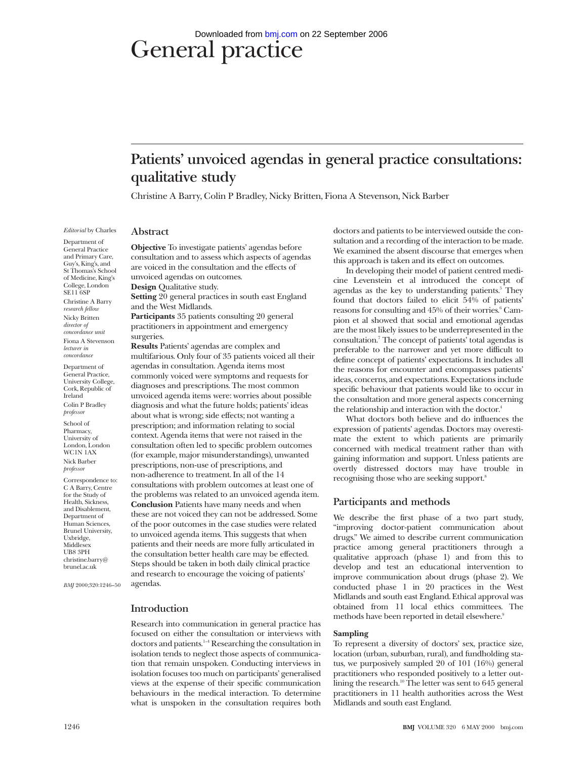# General practice Downloaded from [bmj.com](http://bmj.com) on 22 September 2006

# **Patients' unvoiced agendas in general practice consultations: qualitative study**

Christine A Barry, Colin P Bradley, Nicky Britten, Fiona A Stevenson, Nick Barber

*Editorial* by Charles

**Abstract**

Department of General Practice and Primary Care, Guy's, King's, and St Thomas's School of Medicine, King's College, London SE11 6SP Christine A Barry *research fellow* Nicky Britten *director of concordance unit* Fiona A Stevenson *lecturer in concordance*

Department of General Practice, University College, Cork, Republic of Ireland Colin P Bradley *professor*

School of Pharmacy, University of London, London WC1N 1AX Nick Barber *professor*

Correspondence to: C A Barry, Centre for the Study of Health, Sickness, and Disablement, Department of Human Sciences, Brunel University, Uxbridge, Middlesex UB8 3PH christine.barry@ brunel.ac.uk

*BMJ* 2000;320:1246–50

**Objective** To investigate patients' agendas before consultation and to assess which aspects of agendas are voiced in the consultation and the effects of unvoiced agendas on outcomes.

**Design** Qualitative study. **Setting** 20 general practices in south east England and the West Midlands.

**Participants** 35 patients consulting 20 general practitioners in appointment and emergency surgeries.

**Results** Patients' agendas are complex and multifarious. Only four of 35 patients voiced all their agendas in consultation. Agenda items most commonly voiced were symptoms and requests for diagnoses and prescriptions. The most common unvoiced agenda items were: worries about possible diagnosis and what the future holds; patients' ideas about what is wrong; side effects; not wanting a prescription; and information relating to social context. Agenda items that were not raised in the consultation often led to specific problem outcomes (for example, major misunderstandings), unwanted prescriptions, non-use of prescriptions, and non-adherence to treatment. In all of the 14 consultations with problem outcomes at least one of the problems was related to an unvoiced agenda item. **Conclusion** Patients have many needs and when these are not voiced they can not be addressed. Some of the poor outcomes in the case studies were related to unvoiced agenda items. This suggests that when patients and their needs are more fully articulated in the consultation better health care may be effected. Steps should be taken in both daily clinical practice and research to encourage the voicing of patients' agendas.

# **Introduction**

Research into communication in general practice has focused on either the consultation or interviews with doctors and patients.1–4 Researching the consultation in isolation tends to neglect those aspects of communication that remain unspoken. Conducting interviews in isolation focuses too much on participants' generalised views at the expense of their specific communication behaviours in the medical interaction. To determine what is unspoken in the consultation requires both

doctors and patients to be interviewed outside the consultation and a recording of the interaction to be made. We examined the absent discourse that emerges when this approach is taken and its effect on outcomes.

In developing their model of patient centred medicine Levenstein et al introduced the concept of agendas as the key to understanding patients.<sup>5</sup> They found that doctors failed to elicit 54% of patients' reasons for consulting and  $45\%$  of their worries.<sup>6</sup> Campion et al showed that social and emotional agendas are the most likely issues to be underrepresented in the consultation.7 The concept of patients' total agendas is preferable to the narrower and yet more difficult to define concept of patients' expectations. It includes all the reasons for encounter and encompasses patients' ideas, concerns, and expectations. Expectations include specific behaviour that patients would like to occur in the consultation and more general aspects concerning the relationship and interaction with the doctor.<sup>4</sup>

What doctors both believe and do influences the expression of patients' agendas. Doctors may overestimate the extent to which patients are primarily concerned with medical treatment rather than with gaining information and support. Unless patients are overtly distressed doctors may have trouble in recognising those who are seeking support.8

# **Participants and methods**

We describe the first phase of a two part study, "improving doctor-patient communication about drugs." We aimed to describe current communication practice among general practitioners through a qualitative approach (phase 1) and from this to develop and test an educational intervention to improve communication about drugs (phase 2). We conducted phase 1 in 20 practices in the West Midlands and south east England. Ethical approval was obtained from 11 local ethics committees. The methods have been reported in detail elsewhere.<sup>9</sup>

#### **Sampling**

To represent a diversity of doctors' sex, practice size, location (urban, suburban, rural), and fundholding status, we purposively sampled 20 of 101 (16%) general practitioners who responded positively to a letter outlining the research.<sup>10</sup> The letter was sent to  $645$  general practitioners in 11 health authorities across the West Midlands and south east England.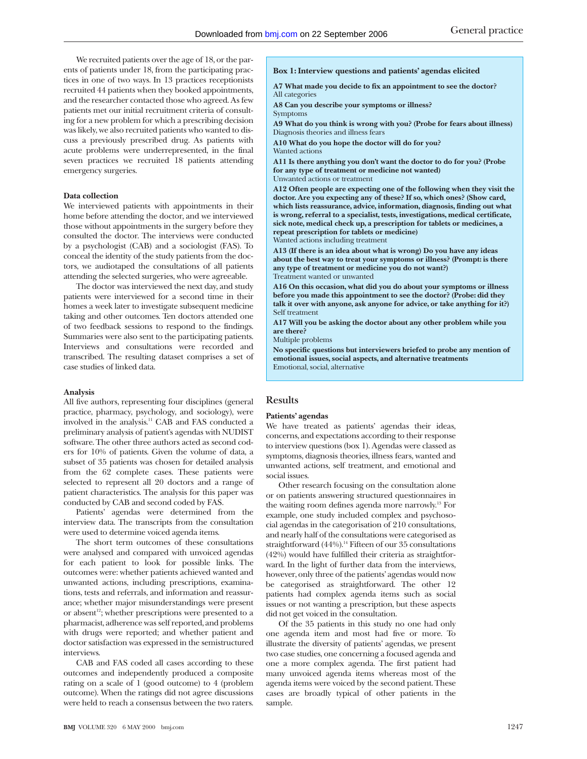We recruited patients over the age of 18, or the parents of patients under 18, from the participating practices in one of two ways. In 13 practices receptionists recruited 44 patients when they booked appointments, and the researcher contacted those who agreed. As few patients met our initial recruitment criteria of consulting for a new problem for which a prescribing decision was likely, we also recruited patients who wanted to discuss a previously prescribed drug. As patients with acute problems were underrepresented, in the final seven practices we recruited 18 patients attending emergency surgeries.

### **Data collection**

We interviewed patients with appointments in their home before attending the doctor, and we interviewed those without appointments in the surgery before they consulted the doctor. The interviews were conducted by a psychologist (CAB) and a sociologist (FAS). To conceal the identity of the study patients from the doctors, we audiotaped the consultations of all patients attending the selected surgeries, who were agreeable.

The doctor was interviewed the next day, and study patients were interviewed for a second time in their homes a week later to investigate subsequent medicine taking and other outcomes. Ten doctors attended one of two feedback sessions to respond to the findings. Summaries were also sent to the participating patients. Interviews and consultations were recorded and transcribed. The resulting dataset comprises a set of case studies of linked data.

#### **Analysis**

All five authors, representing four disciplines (general practice, pharmacy, psychology, and sociology), were involved in the analysis.11 CAB and FAS conducted a preliminary analysis of patient's agendas with NUDIST software. The other three authors acted as second coders for 10% of patients. Given the volume of data, a subset of 35 patients was chosen for detailed analysis from the 62 complete cases. These patients were selected to represent all 20 doctors and a range of patient characteristics. The analysis for this paper was conducted by CAB and second coded by FAS.

Patients' agendas were determined from the interview data. The transcripts from the consultation were used to determine voiced agenda items.

The short term outcomes of these consultations were analysed and compared with unvoiced agendas for each patient to look for possible links. The outcomes were: whether patients achieved wanted and unwanted actions, including prescriptions, examinations, tests and referrals, and information and reassurance; whether major misunderstandings were present or absent<sup>12</sup>; whether prescriptions were presented to a pharmacist, adherence was self reported, and problems with drugs were reported; and whether patient and doctor satisfaction was expressed in the semistructured interviews.

CAB and FAS coded all cases according to these outcomes and independently produced a composite rating on a scale of 1 (good outcome) to 4 (problem outcome). When the ratings did not agree discussions were held to reach a consensus between the two raters.

**A7 What made you decide to fix an appointment to see the doctor?** All categories

**A8 Can you describe your symptoms or illness?**

Symptoms

**A9 What do you think is wrong with you? (Probe for fears about illness)** Diagnosis theories and illness fears

**A10 What do you hope the doctor will do for you?**

Wanted actions

**A11 Is there anything you don't want the doctor to do for you? (Probe for any type of treatment or medicine not wanted)** Unwanted actions or treatment

**A12 Often people are expecting one of the following when they visit the doctor. Are you expecting any of these? If so, which ones? (Show card, which lists reassurance, advice, information, diagnosis, finding out what is wrong, referral to a specialist, tests, investigations, medical certificate, sick note, medical check up, a prescription for tablets or medicines, a repeat prescription for tablets or medicine)** Wanted actions including treatment

**A13 (If there is an idea about what is wrong) Do you have any ideas about the best way to treat your symptoms or illness? (Prompt: is there any type of treatment or medicine you do not want?)** Treatment wanted or unwanted

**A16 On this occasion, what did you do about your symptoms or illness before you made this appointment to see the doctor? (Probe: did they talk it over with anyone, ask anyone for advice, or take anything for it?)** Self treatment

**A17 Will you be asking the doctor about any other problem while you are there?**

Multiple problems

**No specific questions but interviewers briefed to probe any mention of emotional issues, social aspects, and alternative treatments** Emotional, social, alternative

# **Results**

#### **Patients' agendas**

We have treated as patients' agendas their ideas, concerns, and expectations according to their response to interview questions (box 1). Agendas were classed as symptoms, diagnosis theories, illness fears, wanted and unwanted actions, self treatment, and emotional and social issues.

Other research focusing on the consultation alone or on patients answering structured questionnaires in the waiting room defines agenda more narrowly.13 For example, one study included complex and psychosocial agendas in the categorisation of 210 consultations, and nearly half of the consultations were categorised as straightforward (44%).<sup>14</sup> Fifteen of our 35 consultations (42%) would have fulfilled their criteria as straightforward. In the light of further data from the interviews, however, only three of the patients' agendas would now be categorised as straightforward. The other 12 patients had complex agenda items such as social issues or not wanting a prescription, but these aspects did not get voiced in the consultation.

Of the 35 patients in this study no one had only one agenda item and most had five or more. To illustrate the diversity of patients' agendas, we present two case studies, one concerning a focused agenda and one a more complex agenda. The first patient had many unvoiced agenda items whereas most of the agenda items were voiced by the second patient. These cases are broadly typical of other patients in the sample.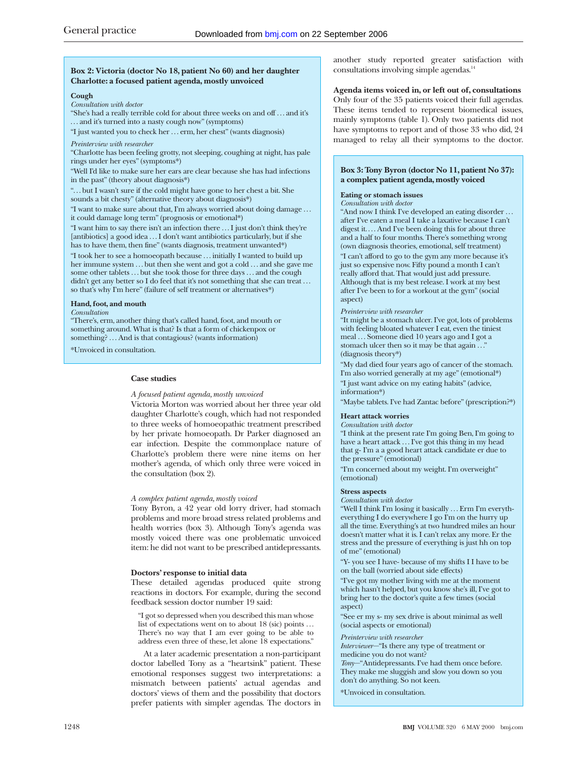## **Box 2: Victoria (doctor No 18, patient No 60) and her daughter Charlotte: a focused patient agenda, mostly unvoiced**

#### **Cough**

*Consultation with doctor*

"She's had a really terrible cold for about three weeks on and off . . . and it's . . . and it's turned into a nasty cough now" (symptoms)

"I just wanted you to check her . . . erm, her chest" (wants diagnosis)

*Preinterview with researcher*

"Charlotte has been feeling grotty, not sleeping, coughing at night, has pale rings under her eyes" (symptoms\*)

"Well I'd like to make sure her ears are clear because she has had infections in the past" (theory about diagnosis\*)

". . . but I wasn't sure if the cold might have gone to her chest a bit. She sounds a bit chesty" (alternative theory about diagnosis\*)

"I want to make sure about that, I'm always worried about doing damage . . . it could damage long term" (prognosis or emotional\*)

"I want him to say there isn't an infection there . . . I just don't think they're [antibiotics] a good idea . . . I don't want antibiotics particularly, but if she has to have them, then fine" (wants diagnosis, treatment unwanted\*)

"I took her to see a homoeopath because . . . initially I wanted to build up her immune system ... but then she went and got a cold ... and she gave me some other tablets ... but she took those for three days ... and the cough didn't get any better so I do feel that it's not something that she can treat... so that's why I'm here" (failure of self treatment or alternatives\*)

#### **Hand, foot, and mouth**

*Consultation*

"There's, erm, another thing that's called hand, foot, and mouth or something around. What is that? Is that a form of chickenpox or something? ... And is that contagious? (wants information)

\*Unvoiced in consultation.

## **Case studies**

#### *A focused patient agenda, mostly unvoiced*

Victoria Morton was worried about her three year old daughter Charlotte's cough, which had not responded to three weeks of homoeopathic treatment prescribed by her private homoeopath. Dr Parker diagnosed an ear infection. Despite the commonplace nature of Charlotte's problem there were nine items on her mother's agenda, of which only three were voiced in the consultation (box 2).

#### *A complex patient agenda, mostly voiced*

Tony Byron, a 42 year old lorry driver, had stomach problems and more broad stress related problems and health worries (box 3). Although Tony's agenda was mostly voiced there was one problematic unvoiced item: he did not want to be prescribed antidepressants.

#### **Doctors' response to initial data**

These detailed agendas produced quite strong reactions in doctors. For example, during the second feedback session doctor number 19 said:

"I got so depressed when you described this man whose list of expectations went on to about 18 (sic) points . . . There's no way that I am ever going to be able to address even three of these, let alone 18 expectations."

At a later academic presentation a non-participant doctor labelled Tony as a "heartsink" patient. These emotional responses suggest two interpretations: a mismatch between patients' actual agendas and doctors' views of them and the possibility that doctors prefer patients with simpler agendas. The doctors in another study reported greater satisfaction with consultations involving simple agendas.14

# **Agenda items voiced in, or left out of, consultations**

Only four of the 35 patients voiced their full agendas. These items tended to represent biomedical issues, mainly symptoms (table 1). Only two patients did not have symptoms to report and of those 33 who did, 24 managed to relay all their symptoms to the doctor.

# **Box 3: Tony Byron (doctor No 11, patient No 37): a complex patient agenda, mostly voiced**

#### **Eating or stomach issues**

#### *Consultation with doctor*

"And now I think I've developed an eating disorder ... after I've eaten a meal I take a laxative because I can't digest it. . . . And I've been doing this for about three and a half to four months. There's something wrong (own diagnosis theories, emotional, self treatment) "I can't afford to go to the gym any more because it's just so expensive now. Fifty pound a month I can't really afford that. That would just add pressure. Although that is my best release. I work at my best after I've been to for a workout at the gym" (social aspect)

#### *Preinterview with researcher*

"It might be a stomach ulcer. I've got, lots of problems with feeling bloated whatever I eat, even the tiniest meal . . . Someone died 10 years ago and I got a stomach ulcer then so it may be that again . . ." (diagnosis theory\*)

"My dad died four years ago of cancer of the stomach. I'm also worried generally at my age" (emotional\*)

"I just want advice on my eating habits" (advice, information\*)

"Maybe tablets. I've had Zantac before" (prescription?\*)

# **Heart attack worries**

*Consultation with doctor* "I think at the present rate I'm going Ben, I'm going to have a heart attack ... I've got this thing in my head that g- I'm a a good heart attack candidate er due to the pressure" (emotional)

"I'm concerned about my weight. I'm overweight" (emotional)

#### **Stress aspects**

*Consultation with doctor*

"Well I think I'm losing it basically . . . Erm I'm everytheverything I do everywhere I go I'm on the hurry up all the time. Everything's at two hundred miles an hour doesn't matter what it is. I can't relax any more. Er the stress and the pressure of everything is just hh on top of me" (emotional)

"Y- you see I have- because of my shifts I I have to be on the ball (worried about side effects)

"I've got my mother living with me at the moment which hasn't helped, but you know she's ill, I've got to bring her to the doctor's quite a few times (social aspect)

"See er my s- my sex drive is about minimal as well (social aspects or emotional)

#### *Preinterview with researcher*

*Interviewer*—"Is there any type of treatment or medicine you do not want?

*Tony*—"Antidepressants. I've had them once before. They make me sluggish and slow you down so you don't do anything. So not keen.

\*Unvoiced in consultation.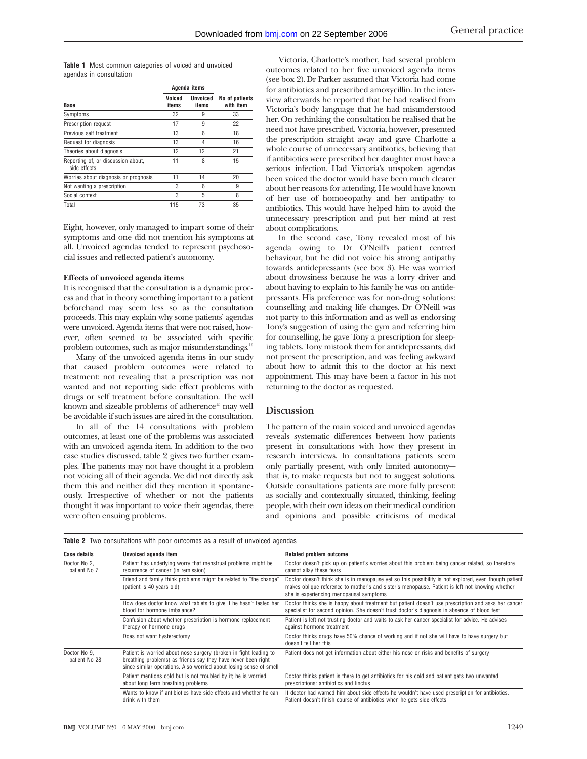**Table 1** Most common categories of voiced and unvoiced agendas in consultation

|                                                    | Agenda items    |                   |                             |
|----------------------------------------------------|-----------------|-------------------|-----------------------------|
| Base                                               | Voiced<br>items | Unvoiced<br>items | No of patients<br>with item |
| Symptoms                                           | 32              | 9                 | 33                          |
| Prescription request                               | 17              | 9                 | 22                          |
| Previous self treatment                            | 13              | 6                 | 18                          |
| Request for diagnosis                              | 13              | 4                 | 16                          |
| Theories about diagnosis                           | 12              | 12                | 21                          |
| Reporting of, or discussion about,<br>side effects | 11              | 8                 | 15                          |
| Worries about diagnosis or prognosis               | 11              | 14                | 20                          |
| Not wanting a prescription                         | 3               | 6                 | 9                           |
| Social context                                     | 3               | 5                 | 8                           |
| Total                                              | 115             | 73                | 35                          |
|                                                    |                 |                   |                             |

Eight, however, only managed to impart some of their symptoms and one did not mention his symptoms at all. Unvoiced agendas tended to represent psychosocial issues and reflected patient's autonomy.

### **Effects of unvoiced agenda items**

It is recognised that the consultation is a dynamic process and that in theory something important to a patient beforehand may seem less so as the consultation proceeds. This may explain why some patients' agendas were unvoiced. Agenda items that were not raised, however, often seemed to be associated with specific problem outcomes, such as major misunderstandings.<sup>12</sup>

Many of the unvoiced agenda items in our study that caused problem outcomes were related to treatment: not revealing that a prescription was not wanted and not reporting side effect problems with drugs or self treatment before consultation. The well known and sizeable problems of adherence<sup>15</sup> may well be avoidable if such issues are aired in the consultation.

In all of the 14 consultations with problem outcomes, at least one of the problems was associated with an unvoiced agenda item. In addition to the two case studies discussed, table 2 gives two further examples. The patients may not have thought it a problem not voicing all of their agenda. We did not directly ask them this and neither did they mention it spontaneously. Irrespective of whether or not the patients thought it was important to voice their agendas, there were often ensuing problems.

Victoria, Charlotte's mother, had several problem outcomes related to her five unvoiced agenda items (see box 2). Dr Parker assumed that Victoria had come for antibiotics and prescribed amoxycillin. In the interview afterwards he reported that he had realised from Victoria's body language that he had misunderstood her. On rethinking the consultation he realised that he need not have prescribed. Victoria, however, presented the prescription straight away and gave Charlotte a whole course of unnecessary antibiotics, believing that if antibiotics were prescribed her daughter must have a serious infection. Had Victoria's unspoken agendas been voiced the doctor would have been much clearer about her reasons for attending. He would have known of her use of homoeopathy and her antipathy to antibiotics. This would have helped him to avoid the unnecessary prescription and put her mind at rest about complications.

In the second case, Tony revealed most of his agenda owing to Dr O'Neill's patient centred behaviour, but he did not voice his strong antipathy towards antidepressants (see box 3). He was worried about drowsiness because he was a lorry driver and about having to explain to his family he was on antidepressants. His preference was for non-drug solutions: counselling and making life changes. Dr O'Neill was not party to this information and as well as endorsing Tony's suggestion of using the gym and referring him for counselling, he gave Tony a prescription for sleeping tablets. Tony mistook them for antidepressants, did not present the prescription, and was feeling awkward about how to admit this to the doctor at his next appointment. This may have been a factor in his not returning to the doctor as requested.

# **Discussion**

The pattern of the main voiced and unvoiced agendas reveals systematic differences between how patients present in consultations with how they present in research interviews. In consultations patients seem only partially present, with only limited autonomy that is, to make requests but not to suggest solutions. Outside consultations patients are more fully present: as socially and contextually situated, thinking, feeling people, with their own ideas on their medical condition and opinions and possible criticisms of medical

| <b>Case details</b>           | Unvoiced agenda item                                                                                                                                                                                     | Related problem outcome                                                                                                                                                                                                                             |
|-------------------------------|----------------------------------------------------------------------------------------------------------------------------------------------------------------------------------------------------------|-----------------------------------------------------------------------------------------------------------------------------------------------------------------------------------------------------------------------------------------------------|
| Doctor No 2,<br>patient No 7  | Patient has underlying worry that menstrual problems might be<br>recurrence of cancer (in remission)                                                                                                     | Doctor doesn't pick up on patient's worries about this problem being cancer related, so therefore<br>cannot allay these fears                                                                                                                       |
|                               | Friend and family think problems might be related to "the change"<br>(patient is 40 years old)                                                                                                           | Doctor doesn't think she is in menopause yet so this possibility is not explored, even though patient<br>makes oblique reference to mother's and sister's menopause. Patient is left not knowing whether<br>she is experiencing menopausal symptoms |
|                               | How does doctor know what tablets to give if he hasn't tested her<br>blood for hormone imbalance?                                                                                                        | Doctor thinks she is happy about treatment but patient doesn't use prescription and asks her cancer<br>specialist for second opinion. She doesn't trust doctor's diagnosis in absence of blood test                                                 |
|                               | Confusion about whether prescription is hormone replacement<br>therapy or hormone drugs                                                                                                                  | Patient is left not trusting doctor and waits to ask her cancer specialist for advice. He advises<br>against hormone treatment                                                                                                                      |
|                               | Does not want hysterectomy                                                                                                                                                                               | Doctor thinks drugs have 50% chance of working and if not she will have to have surgery but<br>doesn't tell her this                                                                                                                                |
| Doctor No 9.<br>patient No 28 | Patient is worried about nose surgery (broken in fight leading to<br>breathing problems) as friends say they have never been right<br>since similar operations. Also worried about losing sense of smell | Patient does not get information about either his nose or risks and benefits of surgery                                                                                                                                                             |
|                               | Patient mentions cold but is not troubled by it; he is worried<br>about long term breathing problems                                                                                                     | Doctor thinks patient is there to get antibiotics for his cold and patient gets two unwanted<br>prescriptions: antibiotics and linctus                                                                                                              |
|                               | Wants to know if antibiotics have side effects and whether he can<br>drink with them                                                                                                                     | If doctor had warned him about side effects he wouldn't have used prescription for antibiotics.<br>Patient doesn't finish course of antibiotics when he gets side effects                                                                           |

**Table 2** Two consultations with poor outcomes as a result of unvoiced agendas